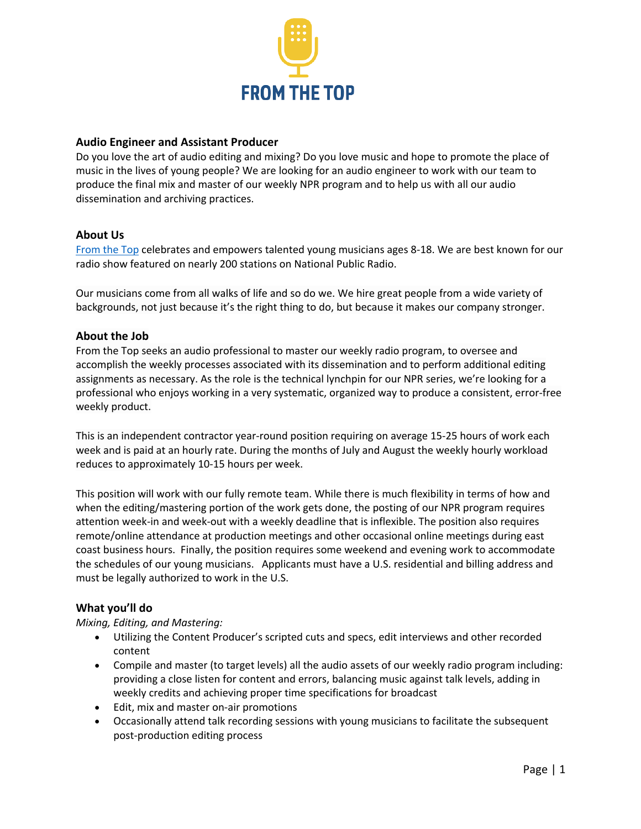

### **Audio Engineer and Assistant Producer**

Do you love the art of audio editing and mixing? Do you love music and hope to promote the place of music in the lives of young people? We are looking for an audio engineer to work with our team to produce the final mix and master of our weekly NPR program and to help us with all our audio dissemination and archiving practices.

# **About Us**

From the Top celebrates and empowers talented young musicians ages 8-18. We are best known for our radio show featured on nearly 200 stations on National Public Radio.

Our musicians come from all walks of life and so do we. We hire great people from a wide variety of backgrounds, not just because it's the right thing to do, but because it makes our company stronger.

# **About the Job**

From the Top seeks an audio professional to master our weekly radio program, to oversee and accomplish the weekly processes associated with its dissemination and to perform additional editing assignments as necessary. As the role is the technical lynchpin for our NPR series, we're looking for a professional who enjoys working in a very systematic, organized way to produce a consistent, error-free weekly product.

This is an independent contractor year-round position requiring on average 15-25 hours of work each week and is paid at an hourly rate. During the months of July and August the weekly hourly workload reduces to approximately 10-15 hours per week.

This position will work with our fully remote team. While there is much flexibility in terms of how and when the editing/mastering portion of the work gets done, the posting of our NPR program requires attention week-in and week-out with a weekly deadline that is inflexible. The position also requires remote/online attendance at production meetings and other occasional online meetings during east coast business hours. Finally, the position requires some weekend and evening work to accommodate the schedules of our young musicians. Applicants must have a U.S. residential and billing address and must be legally authorized to work in the U.S.

# **What you'll do**

*Mixing, Editing, and Mastering:*

- Utilizing the Content Producer's scripted cuts and specs, edit interviews and other recorded content
- Compile and master (to target levels) all the audio assets of our weekly radio program including: providing a close listen for content and errors, balancing music against talk levels, adding in weekly credits and achieving proper time specifications for broadcast
- Edit, mix and master on-air promotions
- Occasionally attend talk recording sessions with young musicians to facilitate the subsequent post-production editing process